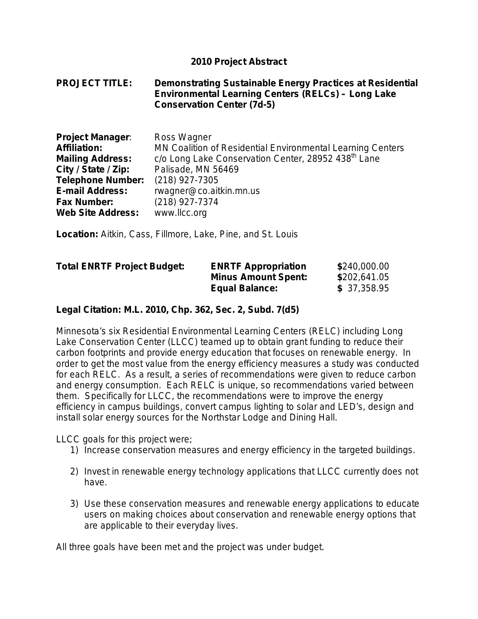#### **2010 Project Abstract**

#### **PROJECT TITLE: Demonstrating Sustainable Energy Practices at Residential Environmental Learning Centers (RELCs) – Long Lake Conservation Center (7d-5)**

| <b>Project Manager:</b>  | Ross Wagner                                                     |
|--------------------------|-----------------------------------------------------------------|
| <b>Affiliation:</b>      | MN Coalition of Residential Environmental Learning Centers      |
| <b>Mailing Address:</b>  | c/o Long Lake Conservation Center, 28952 438 <sup>th</sup> Lane |
| City / State / Zip:      | Palisade, MN 56469                                              |
| <b>Telephone Number:</b> | (218) 927-7305                                                  |
| <b>E-mail Address:</b>   | rwagner@co.aitkin.mn.us                                         |
| <b>Fax Number:</b>       | (218) 927-7374                                                  |
| <b>Web Site Address:</b> | www.llcc.org                                                    |

**Location:** Aitkin, Cass, Fillmore, Lake, Pine, and St. Louis

| <b>Total ENRTF Project Budget:</b> | <b>ENRTF Appropriation</b> | \$240,000.00 |
|------------------------------------|----------------------------|--------------|
|                                    | <b>Minus Amount Spent:</b> | \$202,641.05 |
|                                    | <b>Equal Balance:</b>      | \$37,358.95  |

#### **Legal Citation: M.L. 2010, Chp. 362, Sec. 2, Subd. 7(d5)**

Minnesota's six Residential Environmental Learning Centers (RELC) including Long Lake Conservation Center (LLCC) teamed up to obtain grant funding to reduce their carbon footprints and provide energy education that focuses on renewable energy. In order to get the most value from the energy efficiency measures a study was conducted for each RELC. As a result, a series of recommendations were given to reduce carbon and energy consumption. Each RELC is unique, so recommendations varied between them. Specifically for LLCC, the recommendations were to improve the energy efficiency in campus buildings, convert campus lighting to solar and LED's, design and install solar energy sources for the Northstar Lodge and Dining Hall.

LLCC goals for this project were;

- 1) Increase conservation measures and energy efficiency in the targeted buildings.
- 2) Invest in renewable energy technology applications that LLCC currently does not have.
- 3) Use these conservation measures and renewable energy applications to educate users on making choices about conservation and renewable energy options that are applicable to their everyday lives.

All three goals have been met and the project was under budget.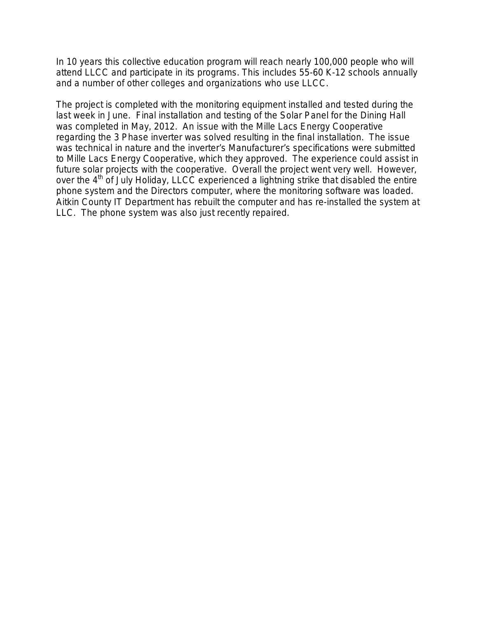In 10 years this collective education program will reach nearly 100,000 people who will attend LLCC and participate in its programs. This includes 55-60 K-12 schools annually and a number of other colleges and organizations who use LLCC.

The project is completed with the monitoring equipment installed and tested during the last week in June. Final installation and testing of the Solar Panel for the Dining Hall was completed in May, 2012. An issue with the Mille Lacs Energy Cooperative regarding the 3 Phase inverter was solved resulting in the final installation. The issue was technical in nature and the inverter's Manufacturer's specifications were submitted to Mille Lacs Energy Cooperative, which they approved. The experience could assist in future solar projects with the cooperative. Overall the project went very well. However, over the 4<sup>th</sup> of July Holiday, LLCC experienced a lightning strike that disabled the entire phone system and the Directors computer, where the monitoring software was loaded. Aitkin County IT Department has rebuilt the computer and has re-installed the system at LLC. The phone system was also just recently repaired.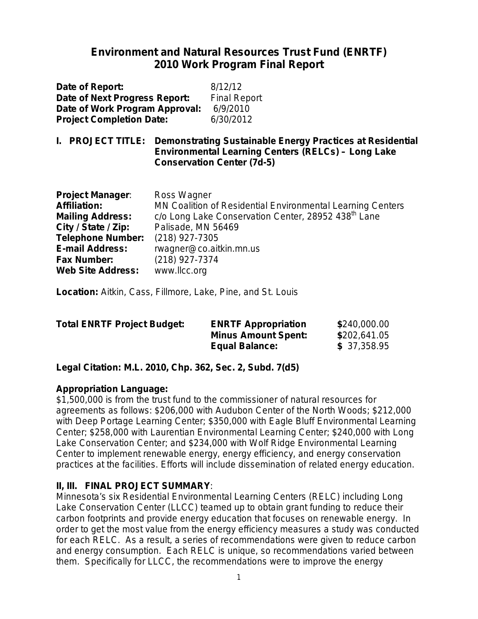# **Environment and Natural Resources Trust Fund (ENRTF) 2010 Work Program Final Report**

| Date of Report:                 | 8/12/12             |
|---------------------------------|---------------------|
| Date of Next Progress Report:   | <b>Final Report</b> |
| Date of Work Program Approval:  | 6/9/2010            |
| <b>Project Completion Date:</b> | 6/30/2012           |

**I. PROJECT TITLE: Demonstrating Sustainable Energy Practices at Residential Environmental Learning Centers (RELCs) – Long Lake Conservation Center (7d-5)**

| <b>Project Manager:</b>  | Ross Wagner                                                     |
|--------------------------|-----------------------------------------------------------------|
| <b>Affiliation:</b>      | MN Coalition of Residential Environmental Learning Centers      |
| <b>Mailing Address:</b>  | c/o Long Lake Conservation Center, 28952 438 <sup>th</sup> Lane |
| City / State / Zip:      | Palisade, MN 56469                                              |
| <b>Telephone Number:</b> | (218) 927-7305                                                  |
| <b>E-mail Address:</b>   | rwagner@co.aitkin.mn.us                                         |
| <b>Fax Number:</b>       | (218) 927-7374                                                  |
| <b>Web Site Address:</b> | www.llcc.org                                                    |

**Location:** Aitkin, Cass, Fillmore, Lake, Pine, and St. Louis

| <b>Total ENRTF Project Budget:</b> | <b>ENRTF Appropriation</b> | \$240,000.00 |
|------------------------------------|----------------------------|--------------|
|                                    | <b>Minus Amount Spent:</b> | \$202,641.05 |
|                                    | <b>Equal Balance:</b>      | \$37,358.95  |

**Legal Citation: M.L. 2010, Chp. 362, Sec. 2, Subd. 7(d5)**

### **Appropriation Language:**

\$1,500,000 is from the trust fund to the commissioner of natural resources for agreements as follows: \$206,000 with Audubon Center of the North Woods; \$212,000 with Deep Portage Learning Center; \$350,000 with Eagle Bluff Environmental Learning Center; \$258,000 with Laurentian Environmental Learning Center; \$240,000 with Long Lake Conservation Center; and \$234,000 with Wolf Ridge Environmental Learning Center to implement renewable energy, energy efficiency, and energy conservation practices at the facilities. Efforts will include dissemination of related energy education.

### **II, III. FINAL PROJECT SUMMARY**:

Minnesota's six Residential Environmental Learning Centers (RELC) including Long Lake Conservation Center (LLCC) teamed up to obtain grant funding to reduce their carbon footprints and provide energy education that focuses on renewable energy. In order to get the most value from the energy efficiency measures a study was conducted for each RELC. As a result, a series of recommendations were given to reduce carbon and energy consumption. Each RELC is unique, so recommendations varied between them. Specifically for LLCC, the recommendations were to improve the energy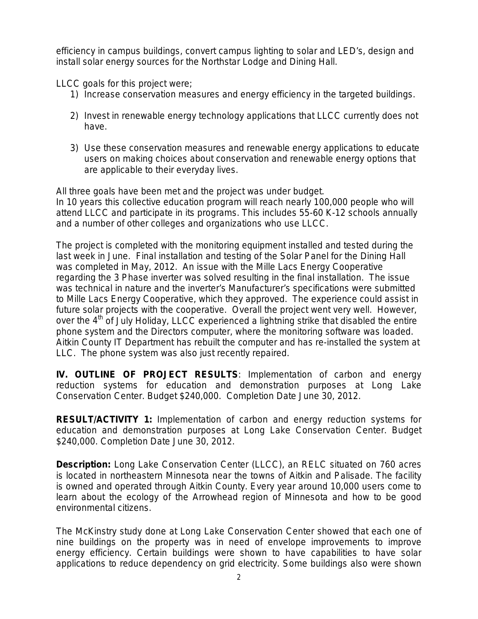efficiency in campus buildings, convert campus lighting to solar and LED's, design and install solar energy sources for the Northstar Lodge and Dining Hall.

LLCC goals for this project were;

- 1) Increase conservation measures and energy efficiency in the targeted buildings.
- 2) Invest in renewable energy technology applications that LLCC currently does not have.
- 3) Use these conservation measures and renewable energy applications to educate users on making choices about conservation and renewable energy options that are applicable to their everyday lives.

All three goals have been met and the project was under budget. In 10 years this collective education program will reach nearly 100,000 people who will attend LLCC and participate in its programs. This includes 55-60 K-12 schools annually and a number of other colleges and organizations who use LLCC.

The project is completed with the monitoring equipment installed and tested during the last week in June. Final installation and testing of the Solar Panel for the Dining Hall was completed in May, 2012. An issue with the Mille Lacs Energy Cooperative regarding the 3 Phase inverter was solved resulting in the final installation. The issue was technical in nature and the inverter's Manufacturer's specifications were submitted to Mille Lacs Energy Cooperative, which they approved. The experience could assist in future solar projects with the cooperative. Overall the project went very well. However, over the 4<sup>th</sup> of July Holiday, LLCC experienced a lightning strike that disabled the entire phone system and the Directors computer, where the monitoring software was loaded. Aitkin County IT Department has rebuilt the computer and has re-installed the system at LLC. The phone system was also just recently repaired.

**IV. OUTLINE OF PROJECT RESULTS***:* Implementation of carbon and energy reduction systems for education and demonstration purposes at Long Lake Conservation Center. Budget \$240,000. Completion Date June 30, 2012.

**RESULT/ACTIVITY 1:** Implementation of carbon and energy reduction systems for education and demonstration purposes at Long Lake Conservation Center. Budget \$240,000. Completion Date June 30, 2012.

**Description:** Long Lake Conservation Center (LLCC), an RELC situated on 760 acres is located in northeastern Minnesota near the towns of Aitkin and Palisade. The facility is owned and operated through Aitkin County. Every year around 10,000 users come to learn about the ecology of the Arrowhead region of Minnesota and how to be good environmental citizens.

The McKinstry study done at Long Lake Conservation Center showed that each one of nine buildings on the property was in need of envelope improvements to improve energy efficiency. Certain buildings were shown to have capabilities to have solar applications to reduce dependency on grid electricity. Some buildings also were shown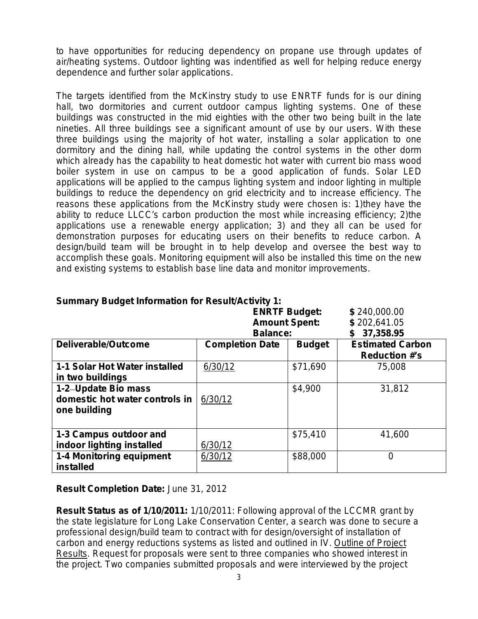to have opportunities for reducing dependency on propane use through updates of air/heating systems. Outdoor lighting was indentified as well for helping reduce energy dependence and further solar applications.

The targets identified from the McKinstry study to use ENRTF funds for is our dining hall, two dormitories and current outdoor campus lighting systems. One of these buildings was constructed in the mid eighties with the other two being built in the late nineties. All three buildings see a significant amount of use by our users. With these three buildings using the majority of hot water, installing a solar application to one dormitory and the dining hall, while updating the control systems in the other dorm which already has the capability to heat domestic hot water with current bio mass wood boiler system in use on campus to be a good application of funds. Solar LED applications will be applied to the campus lighting system and indoor lighting in multiple buildings to reduce the dependency on grid electricity and to increase efficiency. The reasons these applications from the McKinstry study were chosen is: 1)they have the ability to reduce LLCC's carbon production the most while increasing efficiency; 2)the applications use a renewable energy application; 3) and they all can be used for demonstration purposes for educating users on their benefits to reduce carbon. A design/build team will be brought in to help develop and oversee the best way to accomplish these goals. Monitoring equipment will also be installed this time on the new and existing systems to establish base line data and monitor improvements.

|                                                                       | <b>ENRTF Budget:</b><br><b>Amount Spent:</b><br><b>Balance:</b> | \$240,000.00<br>\$202,641.05<br>37,358.95 |                                                 |
|-----------------------------------------------------------------------|-----------------------------------------------------------------|-------------------------------------------|-------------------------------------------------|
| Deliverable/Outcome                                                   | <b>Completion Date</b>                                          | <b>Budget</b>                             | <b>Estimated Carbon</b><br><b>Reduction #'s</b> |
| 1-1 Solar Hot Water installed<br>in two buildings                     | 6/30/12                                                         | \$71,690                                  | 75,008                                          |
| 1-2-Update Bio mass<br>domestic hot water controls in<br>one building | 6/30/12                                                         | \$4,900                                   | 31,812                                          |
| 1-3 Campus outdoor and<br>indoor lighting installed                   | 6/30/12                                                         | \$75,410                                  | 41,600                                          |
| 1-4 Monitoring equipment<br>installed                                 | 6/30/12                                                         | \$88,000                                  | $\overline{0}$                                  |

### **Summary Budget Information for Result/Activity 1:**

**Result Completion Date:** *June 31, 2012*

**Result Status as of 1/10/2011:** 1/10/2011: Following approval of the LCCMR grant by the state legislature for Long Lake Conservation Center, a search was done to secure a professional design/build team to contract with for design/oversight of installation of carbon and energy reductions systems as listed and outlined in IV. Outline of Project Results. Request for proposals were sent to three companies who showed interest in the project. Two companies submitted proposals and were interviewed by the project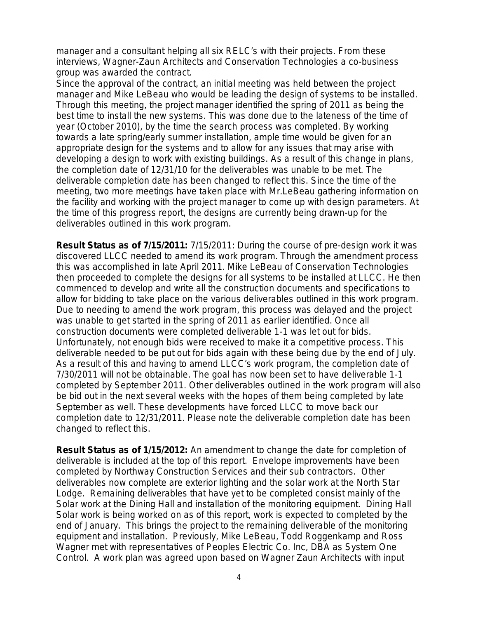manager and a consultant helping all six RELC's with their projects. From these interviews, Wagner-Zaun Architects and Conservation Technologies a co-business group was awarded the contract.

Since the approval of the contract, an initial meeting was held between the project manager and Mike LeBeau who would be leading the design of systems to be installed. Through this meeting, the project manager identified the spring of 2011 as being the best time to install the new systems. This was done due to the lateness of the time of year (October 2010), by the time the search process was completed. By working towards a late spring/early summer installation, ample time would be given for an appropriate design for the systems and to allow for any issues that may arise with developing a design to work with existing buildings. As a result of this change in plans, the completion date of 12/31/10 for the deliverables was unable to be met. The deliverable completion date has been changed to reflect this. Since the time of the meeting, two more meetings have taken place with Mr.LeBeau gathering information on the facility and working with the project manager to come up with design parameters. At the time of this progress report, the designs are currently being drawn-up for the deliverables outlined in this work program.

**Result Status as of 7/15/2011:** 7/15/2011: During the course of pre-design work it was discovered LLCC needed to amend its work program. Through the amendment process this was accomplished in late April 2011. Mike LeBeau of Conservation Technologies then proceeded to complete the designs for all systems to be installed at LLCC. He then commenced to develop and write all the construction documents and specifications to allow for bidding to take place on the various deliverables outlined in this work program. Due to needing to amend the work program, this process was delayed and the project was unable to get started in the spring of 2011 as earlier identified. Once all construction documents were completed deliverable 1-1 was let out for bids. Unfortunately, not enough bids were received to make it a competitive process. This deliverable needed to be put out for bids again with these being due by the end of July. As a result of this and having to amend LLCC's work program, the completion date of 7/30/2011 will not be obtainable. The goal has now been set to have deliverable 1-1 completed by September 2011. Other deliverables outlined in the work program will also be bid out in the next several weeks with the hopes of them being completed by late September as well. These developments have forced LLCC to move back our completion date to 12/31/2011. Please note the deliverable completion date has been changed to reflect this.

**Result Status as of 1/15/2012:** An amendment to change the date for completion of deliverable is included at the top of this report. Envelope improvements have been completed by Northway Construction Services and their sub contractors. Other deliverables now complete are exterior lighting and the solar work at the North Star Lodge. Remaining deliverables that have yet to be completed consist mainly of the Solar work at the Dining Hall and installation of the monitoring equipment. Dining Hall Solar work is being worked on as of this report, work is expected to completed by the end of January. This brings the project to the remaining deliverable of the monitoring equipment and installation. Previously, Mike LeBeau, Todd Roggenkamp and Ross Wagner met with representatives of Peoples Electric Co. Inc, DBA as System One Control. A work plan was agreed upon based on Wagner Zaun Architects with input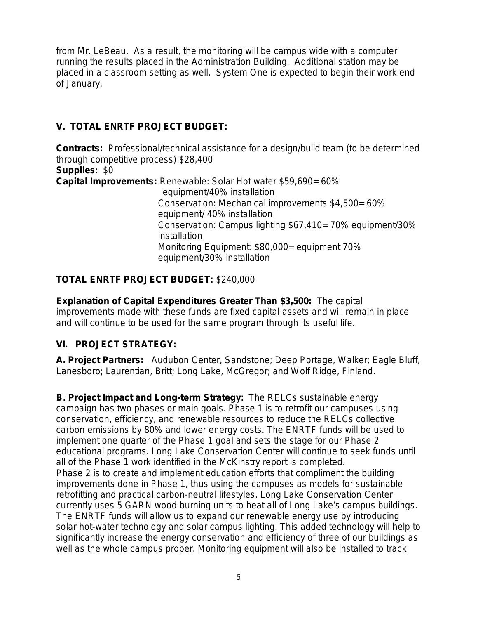from Mr. LeBeau. As a result, the monitoring will be campus wide with a computer running the results placed in the Administration Building. Additional station may be placed in a classroom setting as well. System One is expected to begin their work end of January.

# **V. TOTAL ENRTF PROJECT BUDGET:**

**Contracts:** Professional/technical assistance for a design/build team (to be determined through competitive process) \$28,400 **Supplies**: \$0 **Capital Improvements:** Renewable: Solar Hot water \$59,690= 60% equipment/40% installation Conservation: Mechanical improvements \$4,500= 60% equipment/ 40% installation Conservation: Campus lighting \$67,410= 70% equipment/30% installation Monitoring Equipment: \$80,000= equipment 70% equipment/30% installation

## **TOTAL ENRTF PROJECT BUDGET:** \$240,000

**Explanation of Capital Expenditures Greater Than \$3,500:** The capital improvements made with these funds are fixed capital assets and will remain in place and will continue to be used for the same program through its useful life.

# **VI. PROJECT STRATEGY:**

**A. Project Partners:** Audubon Center, Sandstone; Deep Portage, Walker; Eagle Bluff, Lanesboro; Laurentian, Britt; Long Lake, McGregor; and Wolf Ridge, Finland.

**B. Project Impact and Long-term Strategy:** The RELCs sustainable energy campaign has two phases or main goals. Phase 1 is to retrofit our campuses using conservation, efficiency, and renewable resources to reduce the RELCs collective carbon emissions by 80% and lower energy costs. The ENRTF funds will be used to implement one quarter of the Phase 1 goal and sets the stage for our Phase 2 educational programs. Long Lake Conservation Center will continue to seek funds until all of the Phase 1 work identified in the McKinstry report is completed. Phase 2 is to create and implement education efforts that compliment the building improvements done in Phase 1, thus using the campuses as models for sustainable retrofitting and practical carbon-neutral lifestyles. Long Lake Conservation Center currently uses 5 GARN wood burning units to heat all of Long Lake's campus buildings. The ENRTF funds will allow us to expand our renewable energy use by introducing solar hot-water technology and solar campus lighting. This added technology will help to significantly increase the energy conservation and efficiency of three of our buildings as well as the whole campus proper. Monitoring equipment will also be installed to track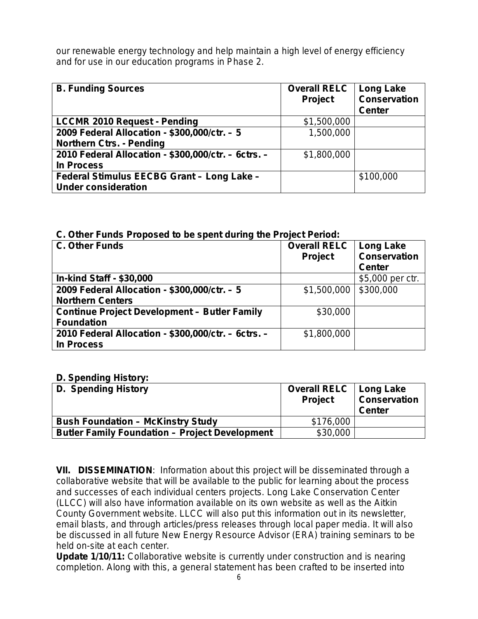our renewable energy technology and help maintain a high level of energy efficiency and for use in our education programs in Phase 2.

| <b>B. Funding Sources</b>                           | <b>Overall RELC</b><br>Project | Long Lake<br><b>Conservation</b><br><b>Center</b> |
|-----------------------------------------------------|--------------------------------|---------------------------------------------------|
| <b>LCCMR 2010 Request - Pending</b>                 | \$1,500,000                    |                                                   |
| 2009 Federal Allocation - \$300,000/ctr. - 5        | 1,500,000                      |                                                   |
| <b>Northern Ctrs. - Pending</b>                     |                                |                                                   |
| 2010 Federal Allocation - \$300,000/ctr. - 6ctrs. - | \$1,800,000                    |                                                   |
| <b>In Process</b>                                   |                                |                                                   |
| Federal Stimulus EECBG Grant - Long Lake -          |                                | \$100,000                                         |
| <b>Under consideration</b>                          |                                |                                                   |

### **C. Other Funds Proposed to be spent during the Project Period:**

| <b>C. Other Funds</b>                               | <b>Overall RELC</b><br><b>Project</b> | <b>Long Lake</b><br><b>Conservation</b> |
|-----------------------------------------------------|---------------------------------------|-----------------------------------------|
|                                                     |                                       | <b>Center</b>                           |
| <b>In-kind Staff - \$30,000</b>                     |                                       | \$5,000 per ctr.                        |
| 2009 Federal Allocation - \$300,000/ctr. - 5        | \$1,500,000                           | \$300,000                               |
| <b>Northern Centers</b>                             |                                       |                                         |
| <b>Continue Project Development - Butler Family</b> | \$30,000                              |                                         |
| <b>Foundation</b>                                   |                                       |                                         |
| 2010 Federal Allocation - \$300,000/ctr. - 6ctrs. - | \$1,800,000                           |                                         |
| In Process                                          |                                       |                                         |

#### **D. Spending History:**

| <b>D. Spending History</b>                            | <b>Overall RELC</b><br><b>Project</b> | Long Lake<br><b>Conservation</b><br><b>Center</b> |
|-------------------------------------------------------|---------------------------------------|---------------------------------------------------|
| <b>Bush Foundation - McKinstry Study</b>              | \$176,000                             |                                                   |
| <b>Butler Family Foundation - Project Development</b> | \$30,000                              |                                                   |

**VII. DISSEMINATION**:Information about this project will be disseminated through a collaborative website that will be available to the public for learning about the process and successes of each individual centers projects. Long Lake Conservation Center (LLCC) will also have information available on its own website as well as the Aitkin County Government website. LLCC will also put this information out in its newsletter, email blasts, and through articles/press releases through local paper media. It will also be discussed in all future New Energy Resource Advisor (ERA) training seminars to be held on-site at each center.

**Update 1/10/11:** Collaborative website is currently under construction and is nearing completion. Along with this, a general statement has been crafted to be inserted into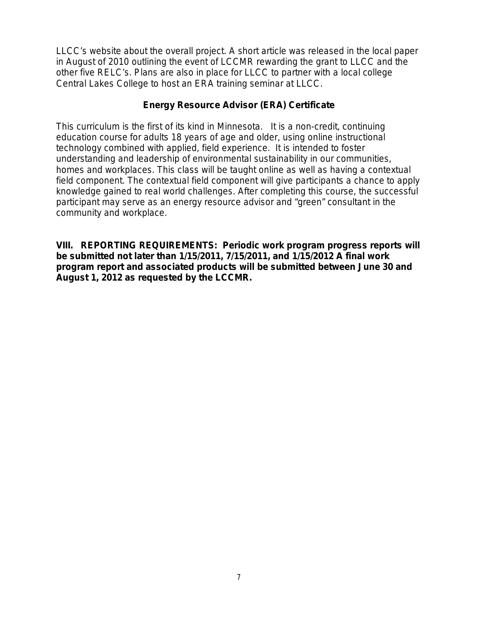LLCC's website about the overall project. A short article was released in the local paper in August of 2010 outlining the event of LCCMR rewarding the grant to LLCC and the other five RELC's. Plans are also in place for LLCC to partner with a local college Central Lakes College to host an ERA training seminar at LLCC.

### **Energy Resource Advisor (ERA) Certificate**

This curriculum is the *first of its kind in Minnesota*. It is a non-credit, continuing education course for adults 18 years of age and older, using online instructional technology combined with applied, field experience. It is intended to foster understanding and leadership of environmental sustainability in our communities, homes and workplaces. This class will be taught online as well as having a contextual field component. The contextual field component will give participants a chance to apply knowledge gained to real world challenges. After completing this course, the successful participant may serve as an energy resource advisor and "green" consultant in the community and workplace.

**VIII. REPORTING REQUIREMENTS: Periodic work program progress reports will be submitted not later than 1/15/2011, 7/15/2011, and 1/15/2012 A final work program report and associated products will be submitted between June 30 and August 1, 2012 as requested by the LCCMR.**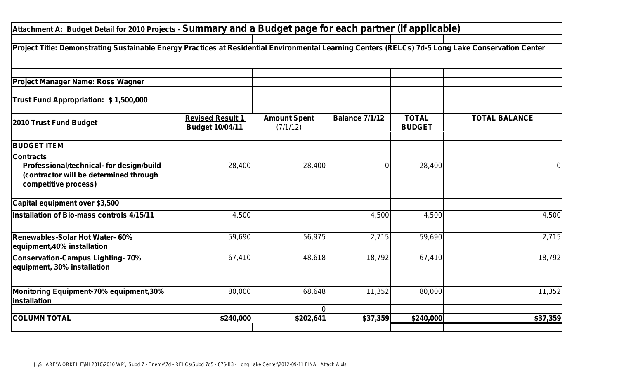| Attachment A: Budget Detail for 2010 Projects - Summary and a Budget page for each partner (if applicable)                                         |                                            |                                 |                       |                               |                      |
|----------------------------------------------------------------------------------------------------------------------------------------------------|--------------------------------------------|---------------------------------|-----------------------|-------------------------------|----------------------|
|                                                                                                                                                    |                                            |                                 |                       |                               |                      |
| Project Title: Demonstrating Sustainable Energy Practices at Residential Environmental Learning Centers (RELCs) 7d-5 Long Lake Conservation Center |                                            |                                 |                       |                               |                      |
| <b>Project Manager Name: Ross Wagner</b>                                                                                                           |                                            |                                 |                       |                               |                      |
| Trust Fund Appropriation: \$1,500,000                                                                                                              |                                            |                                 |                       |                               |                      |
| 2010 Trust Fund Budget                                                                                                                             | <b>Revised Result 1</b><br>Budget 10/04/11 | <b>Amount Spent</b><br>(7/1/12) | <b>Balance 7/1/12</b> | <b>TOTAL</b><br><b>BUDGET</b> | <b>TOTAL BALANCE</b> |
| <b>BUDGET ITEM</b>                                                                                                                                 |                                            |                                 |                       |                               |                      |
| <b>Contracts</b>                                                                                                                                   |                                            |                                 |                       |                               |                      |
| Professional/technical- for design/build<br>(contractor will be determined through<br>competitive process)                                         | 28,400                                     | 28,400                          |                       | 28,400                        | <sup>0</sup>         |
| Capital equipment over \$3,500                                                                                                                     |                                            |                                 |                       |                               |                      |
| Installation of Bio-mass controls 4/15/11                                                                                                          | 4,500                                      |                                 | 4,500                 | 4,500                         | 4,500                |
| Renewables-Solar Hot Water- 60%<br>equipment,40% installation                                                                                      | 59,690                                     | 56,975                          | 2,715                 | 59,690                        | 2,715                |
| Conservation-Campus Lighting- 70%<br>equipment, 30% installation                                                                                   | 67,410                                     | 48,618                          | 18,792                | 67,410                        | 18,792               |
| Monitoring Equipment-70% equipment,30%<br>installation                                                                                             | 80,000                                     | 68,648<br>$\Omega$              | 11,352                | 80,000                        | 11,352               |
| <b>COLUMN TOTAL</b>                                                                                                                                | \$240,000                                  | \$202,641                       | \$37,359              | \$240,000                     | \$37,359             |
|                                                                                                                                                    |                                            |                                 |                       |                               |                      |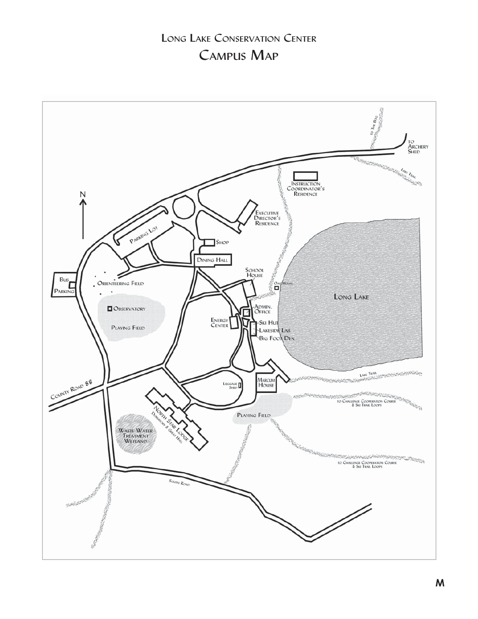# LONG LAKE CONSERVATION CENTER CAMPUS MAP

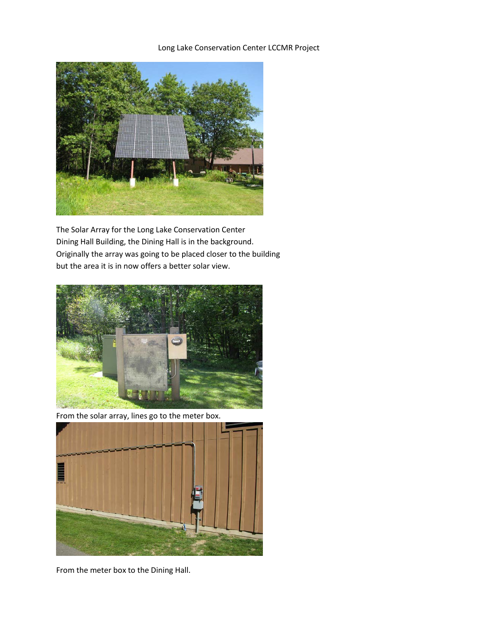Long Lake Conservation Center LCCMR Project



The Solar Array for the Long Lake Conservation Center Dining Hall Building, the Dining Hall is in the background. Originally the array was going to be placed closer to the building but the area it is in now offers a better solar view.



From the solar array, lines go to the meter box.



From the meter box to the Dining Hall.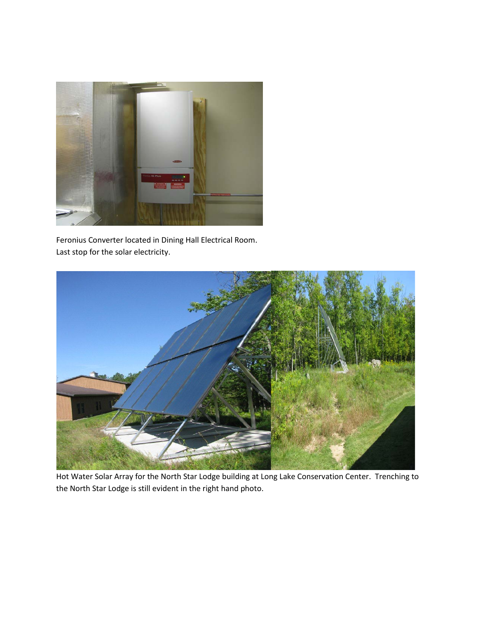

Feronius Converter located in Dining Hall Electrical Room. Last stop for the solar electricity.



Hot Water Solar Array for the North Star Lodge building at Long Lake Conservation Center. Trenching to the North Star Lodge is still evident in the right hand photo.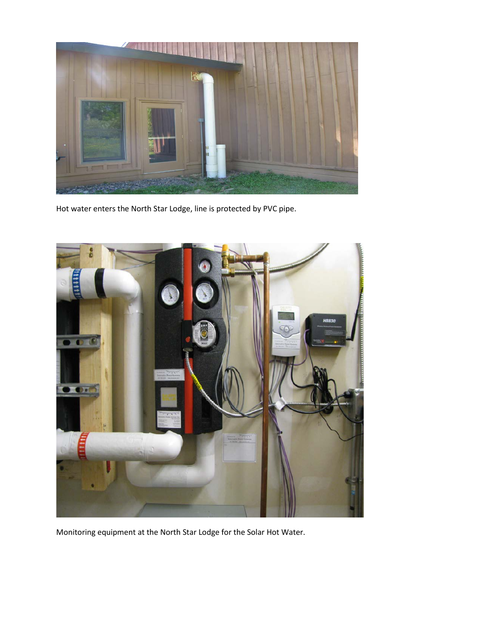

Hot water enters the North Star Lodge, line is protected by PVC pipe.



Monitoring equipment at the North Star Lodge for the Solar Hot Water.